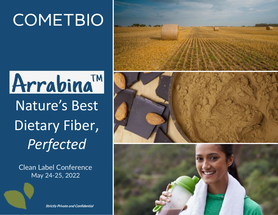# **COMETBIO**

# Arrabina<sup>TM</sup> Nature's Best Dietary Fiber, *Perfected*

Clean Label Conference May 24-25, 2022





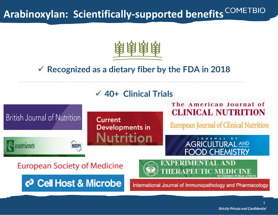## **Arabinoxylan: Scientifically-supported benefits**



### **Recognized as a dietary fiber by the FDA in 2018**



**1**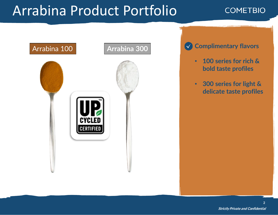# Arrabina Product Portfolio

#### **COMETBIO**



**Complimentary flavors**  $\sim$ 

- **100 series for rich & bold taste profiles**
- **300 series for light & delicate taste profiles**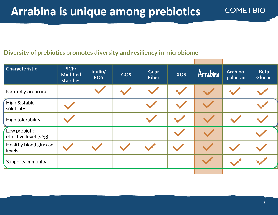#### Diversity of prebiotics promotes diversity and resiliency in microbiome

| <b>Characteristic</b>                  | SCF/<br><b>Modified</b><br>starches | Inulin/<br><b>FOS</b> | <b>GOS</b> | <b>Guar</b><br><b>Fiber</b> | <b>XOS</b> | Arrabina | <b>Arabino-</b><br>galactan | <b>Beta</b><br><b>Glucan</b> |
|----------------------------------------|-------------------------------------|-----------------------|------------|-----------------------------|------------|----------|-----------------------------|------------------------------|
| Naturally occurring                    |                                     |                       |            |                             |            |          |                             |                              |
| High & stable<br>solubility            |                                     |                       |            |                             |            |          |                             |                              |
| High tolerability                      |                                     |                       |            |                             |            |          |                             |                              |
| Low prebiotic<br>effective level (<5g) |                                     |                       |            |                             |            |          |                             |                              |
| Healthy blood glucose<br>levels        |                                     |                       |            |                             |            |          |                             |                              |
| Supports immunity                      |                                     |                       |            |                             |            |          |                             |                              |

**COMETBIO**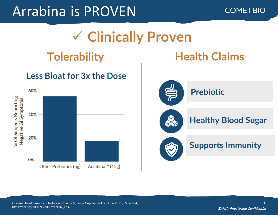# Arrabina is PROVEN





### **Tolerability Health Claims**

### **Less Bloat for 3x the Dose**



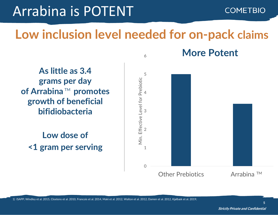# Arrabina is POTENT

#### **COMETBIO**

### **Low inclusion level needed for on-pack claims**

6

 $51$  V V V LI 1 bifidiobacteria **As little as 3.4 grams per day of Arrabina**™ promotes **growth of beneficial** 

**Low dose of <1 gram per serving**



**More Potent**

1) ISAPP; Windley et al. 2015, Cloetens et al. 2010, Francois et al. 2014, Maki et al. 2012, Walton et al. 2012, Damen et al. 2012, Kjølbæk et al. 2019;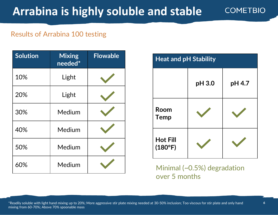#### Results of Arrabina 100 testing

| <b>Solution</b> | <b>Mixing</b><br>needed* | <b>Flowable</b> |
|-----------------|--------------------------|-----------------|
| 10%             | Light                    |                 |
| 20%             | Light                    |                 |
| 30%             | Medium                   |                 |
| 40%             | Medium                   |                 |
| 50%             | Medium                   |                 |
| 60%             | Medium                   |                 |

| <b>Heat and pH Stability</b> |        |        |  |  |  |  |
|------------------------------|--------|--------|--|--|--|--|
|                              | pH 3.0 | pH 4.7 |  |  |  |  |
| Room<br><b>Temp</b>          |        |        |  |  |  |  |
| <b>Hot Fill</b><br>(180°F)   |        |        |  |  |  |  |

Minimal (~0.5%) degradation over 5 months

\*Readily soluble with light hand mixing up to 20%; More aggressive stir plate mixing needed at 30-50% inclusion; Too viscous for stir plate and only hand mixing from 60-70%; Above 70% spoonable mass

**COMETBIO**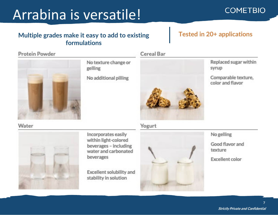# Arrabina is versatile!

#### **Multiple grades make it easy to add to existing formulations**

#### Protein Powder



No texture change or gelling

No additional pilling



#### **Tested in 20+ applications**

Replaced sugar within syrup

**COMETBIO** 

Comparable texture, color and flavor.

Water



Incorporates easily within light-colored beverages - including water and carbonated beverages

Excellent solubility and stability in solution

#### Yogurt

Cereal Bar



No gelling

Good flavor and texture

Excellent color